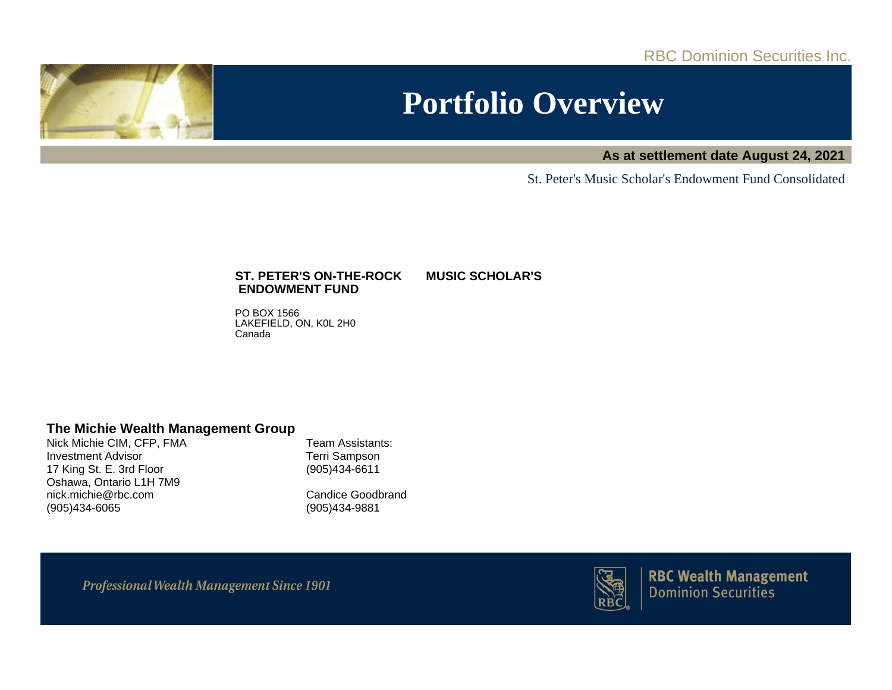RBC Dominion Securities Inc.



# **Portfolio Overview**

**As at settlement date August 24, 2021**

St. Peter's Music Scholar's Endowment Fund Consolidated

## **ST. PETER'S ON-THE-ROCK MUSIC SCHOLAR'S ENDOWMENT FUND**

PO BOX 1566 LAKEFIELD, ON, K0L 2H0 Canada

## **The Michie Wealth Management Group**

Nick Michie CIM, CFP, FMA Investment Advisor 17 King St. E. 3rd Floor Oshawa, Ontario L1H 7M9 nick.michie@rbc.com (905)434-6065

Team Assistants: Terri Sampson (905)434-6611

Candice Goodbrand (905)434-9881

**Professional Wealth Management Since 1901** 



**RBC Wealth Management Dominion Securities**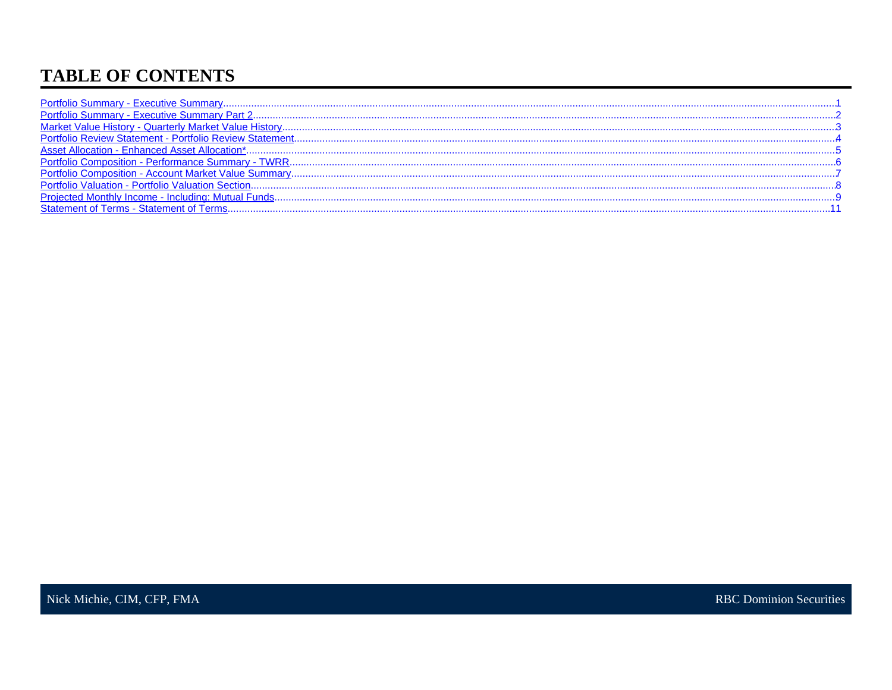# **TABLE OF CONTENTS**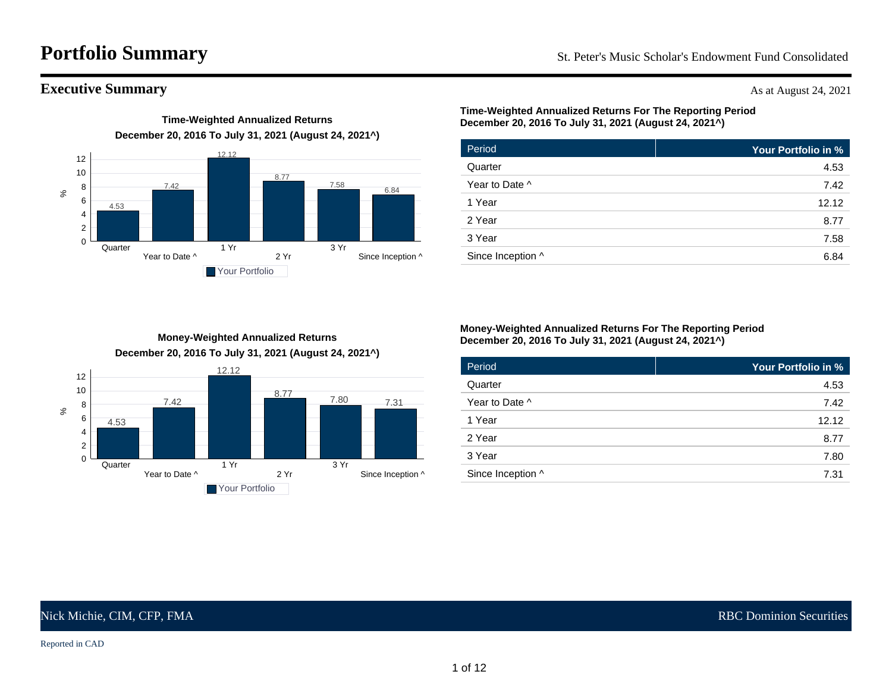# <span id="page-2-0"></span>**Portfolio Summary** St. Peter's Music Scholar's Endowment Fund Consolidated

## **Executive Summary** As at August 24, 2021



**Time-Weighted Annualized Returns**

## **Time-Weighted Annualized Returns For The Reporting Period December 20, 2016 To July 31, 2021 (August 24, 2021^)**

| Period            | Your Portfolio in % |
|-------------------|---------------------|
| Quarter           | 4.53                |
| Year to Date ^    | 7.42                |
| 1 Year            | 12.12               |
| 2 Year            | 8.77                |
| 3 Year            | 7.58                |
| Since Inception ^ | 6.84                |

## **Money-Weighted Annualized Returns December 20, 2016 To July 31, 2021 (August 24, 2021^)**



### **Money-Weighted Annualized Returns For The Reporting Period December 20, 2016 To July 31, 2021 (August 24, 2021^)**

| Period            | Your Portfolio in % |
|-------------------|---------------------|
| Quarter           | 4.53                |
| Year to Date ^    | 7.42                |
| 1 Year            | 12.12               |
| 2 Year            | 8.77                |
| 3 Year            | 7.80                |
| Since Inception ^ | 7.31                |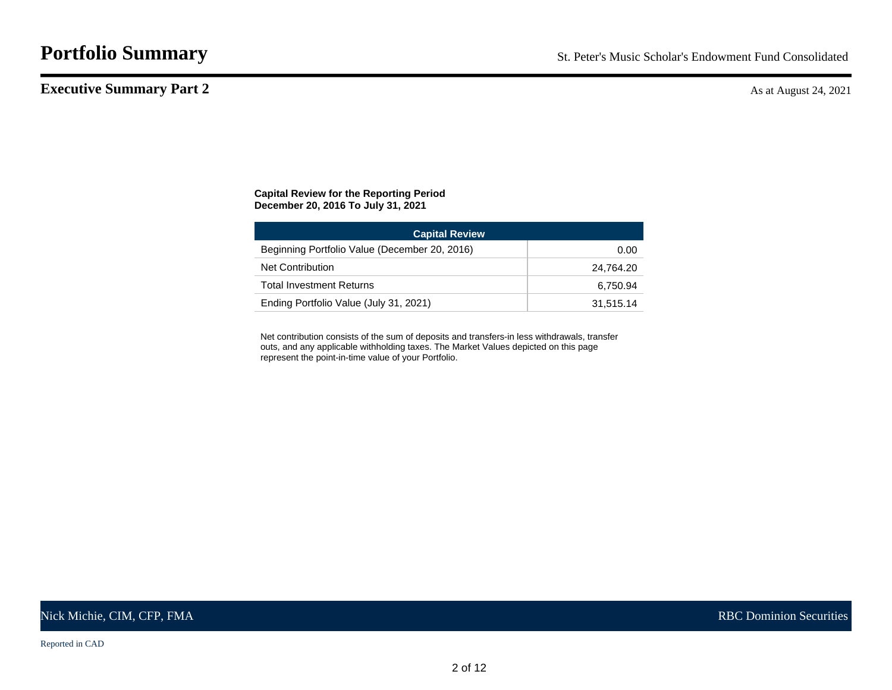## <span id="page-3-0"></span>**Executive Summary Part 2** As at August 24, 2021

### **Capital Review for the Reporting Period December 20, 2016 To July 31, 2021**

| <b>Capital Review</b>                         |           |
|-----------------------------------------------|-----------|
| Beginning Portfolio Value (December 20, 2016) | 0.00      |
| <b>Net Contribution</b>                       | 24.764.20 |
| <b>Total Investment Returns</b>               | 6.750.94  |
| Ending Portfolio Value (July 31, 2021)        | 31,515.14 |

Net contribution consists of the sum of deposits and transfers-in less withdrawals, transfer outs, and any applicable withholding taxes. The Market Values depicted on this page represent the point-in-time value of your Portfolio.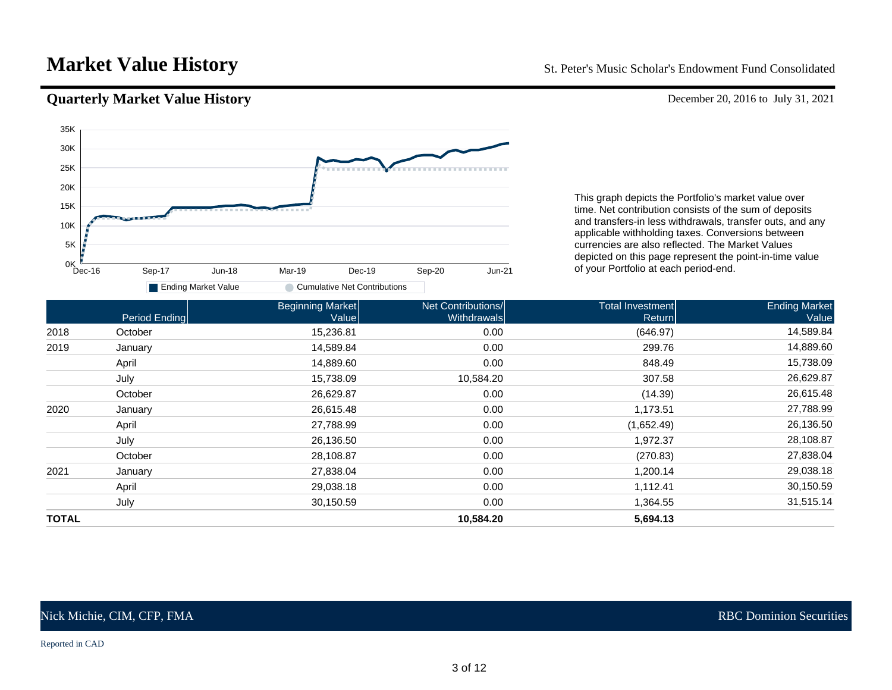# <span id="page-4-0"></span>**Market Value History** St. Peter's Music Scholar's Endowment Fund Consolidated

## **Quarterly Market Value History** December 20, 2016 to July 31, 2021



This graph depicts the Portfolio's market value over time. Net contribution consists of the sum of deposits and transfers-in less withdrawals, transfer outs, and any applicable withholding taxes. Conversions between currencies are also reflected. The Market Values depicted on this page represent the point-in-time value of your Portfolio at each period-end.

|              | Period Ending | <b>Beginning Market</b><br>Value | Net Contributions/<br><b>Withdrawals</b> | Total Investment<br>Return | <b>Ending Market</b><br>Value |
|--------------|---------------|----------------------------------|------------------------------------------|----------------------------|-------------------------------|
| 2018         | October       | 15,236.81                        | 0.00                                     | (646.97)                   | 14,589.84                     |
| 2019         | January       | 14,589.84                        | 0.00                                     | 299.76                     | 14,889.60                     |
|              | April         | 14,889.60                        | 0.00                                     | 848.49                     | 15,738.09                     |
|              | July          | 15,738.09                        | 10,584.20                                | 307.58                     | 26,629.87                     |
|              | October       | 26,629.87                        | 0.00                                     | (14.39)                    | 26,615.48                     |
| 2020         | January       | 26,615.48                        | 0.00                                     | 1,173.51                   | 27,788.99                     |
|              | April         | 27,788.99                        | 0.00                                     | (1,652.49)                 | 26,136.50                     |
|              | July          | 26,136.50                        | 0.00                                     | 1,972.37                   | 28,108.87                     |
|              | October       | 28,108.87                        | 0.00                                     | (270.83)                   | 27,838.04                     |
| 2021         | January       | 27,838.04                        | 0.00                                     | 1,200.14                   | 29,038.18                     |
|              | April         | 29,038.18                        | 0.00                                     | 1,112.41                   | 30,150.59                     |
|              | July          | 30,150.59                        | 0.00                                     | 1,364.55                   | 31,515.14                     |
| <b>TOTAL</b> |               |                                  | 10,584.20                                | 5,694.13                   |                               |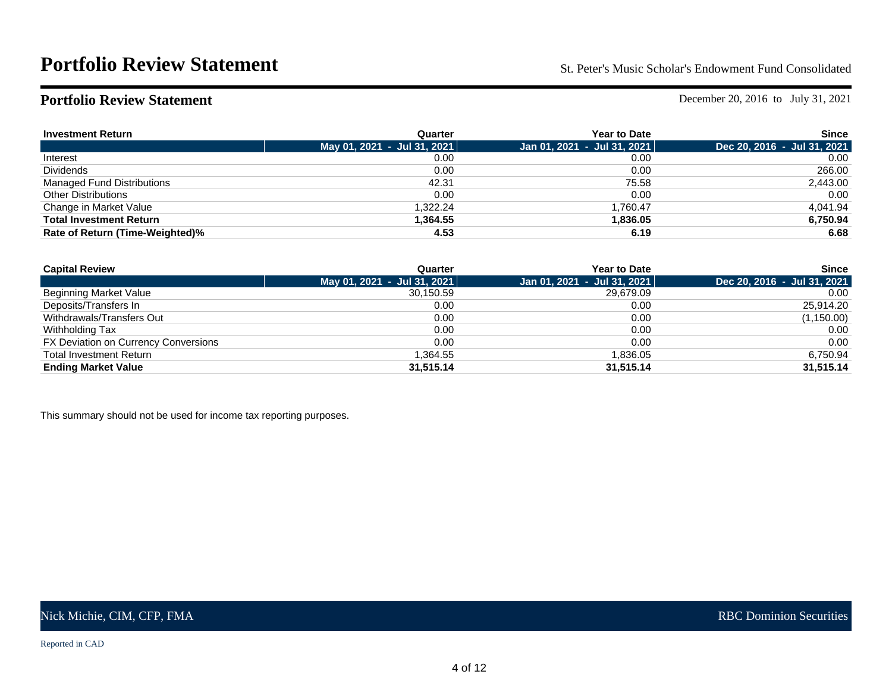<span id="page-5-0"></span>**Portfolio Review Statement** December 20, 2016 to July 31, 2021

| <b>Investment Return</b>          | Quarter                     | <b>Year to Date</b>         | Since                       |
|-----------------------------------|-----------------------------|-----------------------------|-----------------------------|
|                                   | May 01, 2021 - Jul 31, 2021 | Jan 01, 2021 - Jul 31, 2021 | Dec 20, 2016 - Jul 31, 2021 |
| Interest                          | 0.00                        | 0.00                        | 0.00                        |
| <b>Dividends</b>                  | 0.00                        | 0.00                        | 266.00                      |
| <b>Managed Fund Distributions</b> | 42.31                       | 75.58                       | 2,443.00                    |
| <b>Other Distributions</b>        | 0.00                        | 0.00                        | 0.00                        |
| Change in Market Value            | 1.322.24                    | 1.760.47                    | 4,041.94                    |
| <b>Total Investment Return</b>    | 1,364.55                    | 1,836.05                    | 6,750.94                    |
| Rate of Return (Time-Weighted)%   | 4.53                        | 6.19                        | 6.68                        |

| <b>Capital Review</b>                | Quarter                     | <b>Year to Date</b>               | <b>Since</b>                |
|--------------------------------------|-----------------------------|-----------------------------------|-----------------------------|
|                                      | May 01, 2021 - Jul 31, 2021 | Jan 01, 2021  -  Jul 31, 2021   ˈ | Dec 20, 2016 - Jul 31, 2021 |
| Beginning Market Value               | 30.150.59                   | 29.679.09                         | 0.00                        |
| Deposits/Transfers In                | 0.00                        | 0.00                              | 25,914.20                   |
| Withdrawals/Transfers Out            | 0.00                        | 0.00                              | (1,150.00)                  |
| Withholding Tax                      | 0.00                        | 0.00                              | 0.00                        |
| FX Deviation on Currency Conversions | 0.00                        | 0.00                              | 0.00                        |
| <b>Total Investment Return</b>       | 1.364.55                    | 1.836.05                          | 6.750.94                    |
| <b>Ending Market Value</b>           | 31.515.14                   | 31.515.14                         | 31,515.14                   |

This summary should not be used for income tax reporting purposes.

Reported in CAD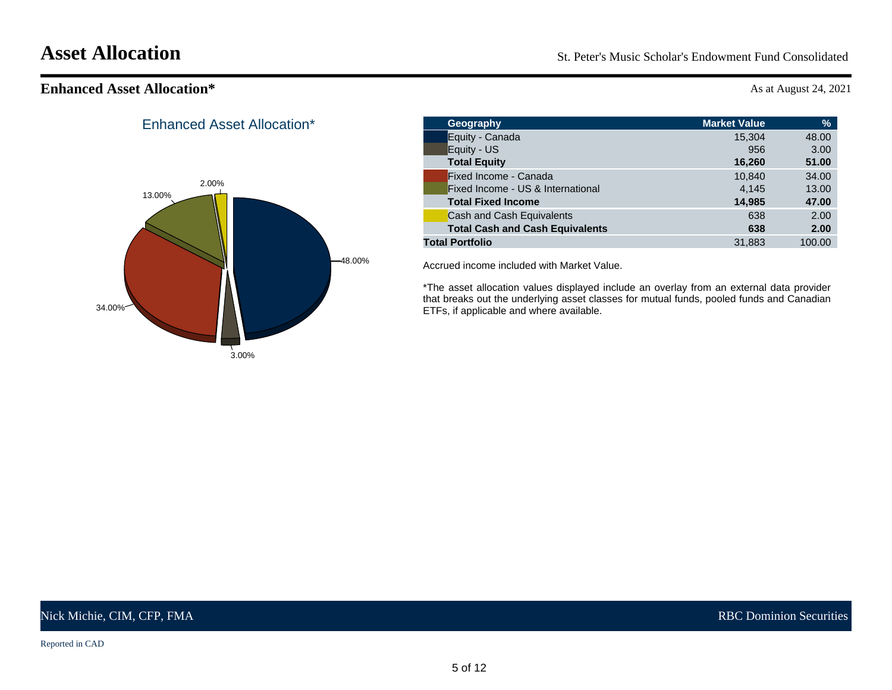<span id="page-6-0"></span>**Asset Allocation** St. Peter's Music Scholar's Endowment Fund Consolidated

# **Enhanced Asset Allocation\*** As at August 24, 2021



Enhanced Asset Allocation\*

| Geography                              | <b>Market Value</b> | %      |
|----------------------------------------|---------------------|--------|
| Equity - Canada                        | 15.304              | 48.00  |
| Equity - US                            | 956                 | 3.00   |
| <b>Total Equity</b>                    | 16,260              | 51.00  |
| Fixed Income - Canada                  | 10.840              | 34.00  |
| Fixed Income - US & International      | 4.145               | 13.00  |
| <b>Total Fixed Income</b>              | 14,985              | 47.00  |
| Cash and Cash Equivalents              | 638                 | 2.00   |
| <b>Total Cash and Cash Equivalents</b> | 638                 | 2.00   |
| <b>Total Portfolio</b>                 | 31,883              | 100.00 |
|                                        |                     |        |

Accrued income included with Market Value.

\*The asset allocation values displayed include an overlay from an external data provider that breaks out the underlying asset classes for mutual funds, pooled funds and Canadian ETFs, if applicable and where available.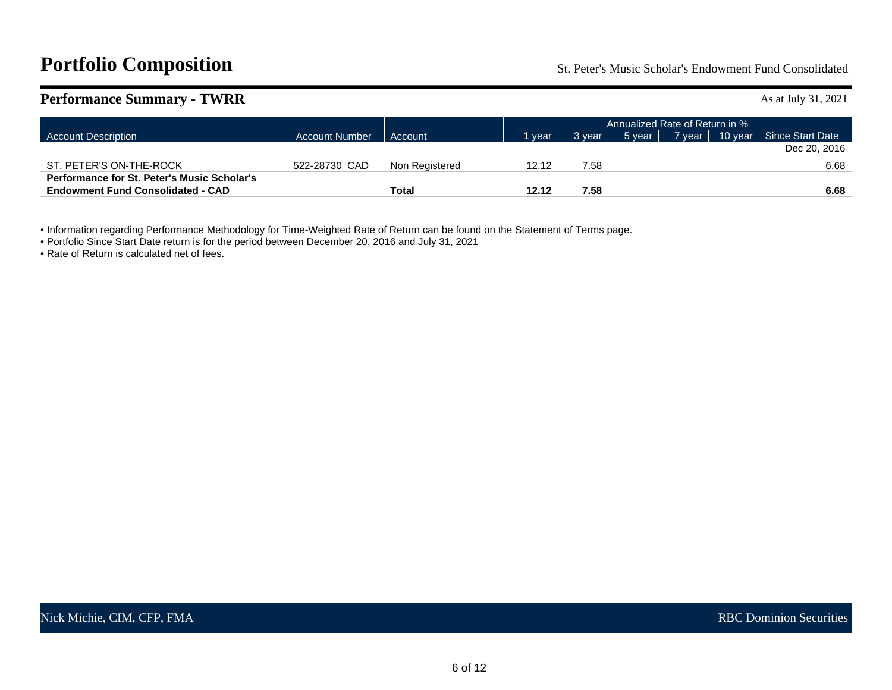# <span id="page-7-0"></span>**Portfolio Composition** St. Peter's Music Scholar's Endowment Fund Consolidated

| <b>Performance Summary - TWRR</b>                                                              |                       |                |       |                                |        |          |               |  | As at July 31, 2021      |  |
|------------------------------------------------------------------------------------------------|-----------------------|----------------|-------|--------------------------------|--------|----------|---------------|--|--------------------------|--|
|                                                                                                |                       |                |       | Annualized Rate of Return in % |        |          |               |  |                          |  |
| <b>Account Description</b>                                                                     | <b>Account Number</b> | Account        |       | vear,                          | 3 vear | 5 year 1 | <b>7</b> year |  | 10 year Since Start Date |  |
|                                                                                                |                       |                |       |                                |        |          |               |  | Dec 20, 2016             |  |
| ST. PETER'S ON-THE-ROCK                                                                        | 522-28730 CAD         | Non Registered | 12.12 |                                | 7.58   |          |               |  | 6.68                     |  |
| <b>Performance for St. Peter's Music Scholar's</b><br><b>Endowment Fund Consolidated - CAD</b> |                       | Total          | 12.12 |                                | 7.58   |          |               |  | 6.68                     |  |

• Information regarding Performance Methodology for Time-Weighted Rate of Return can be found on the Statement of Terms page.

• Portfolio Since Start Date return is for the period between December 20, 2016 and July 31, 2021

• Rate of Return is calculated net of fees.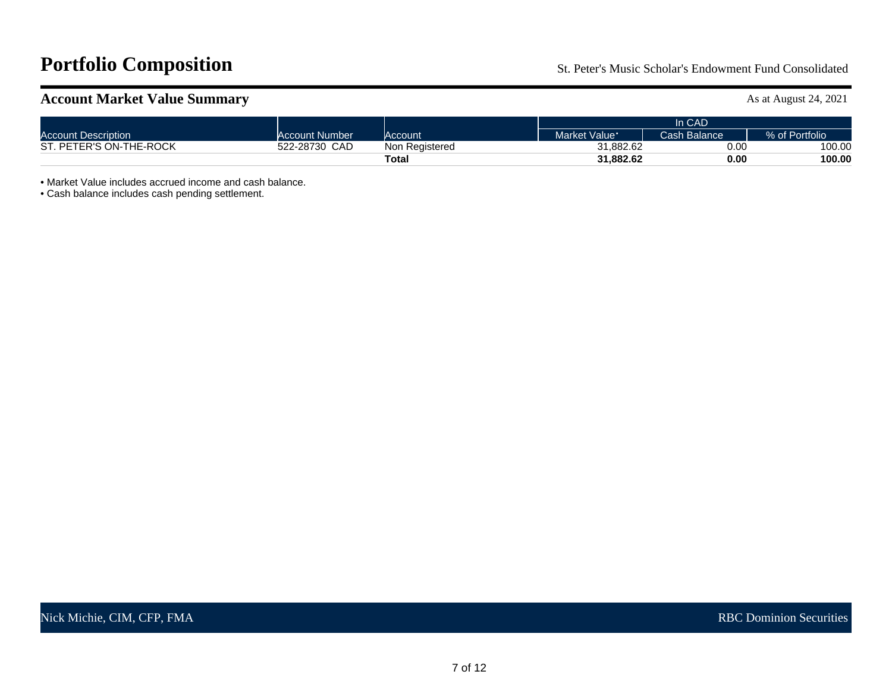# <span id="page-8-0"></span>**Portfolio Composition** St. Peter's Music Scholar's Endowment Fund Consolidated

# **Account Market Value Summary** As at August 24, 2021

|                            |                  |                | In CAD        |              |                |  |  |  |
|----------------------------|------------------|----------------|---------------|--------------|----------------|--|--|--|
| <b>Account Description</b> | Account Number   | Account        | Market Value: | Cash Balance | % of Portfolio |  |  |  |
| ST. PETER'S ON-THE-ROCK    | CAD<br>522-28730 | Non Registered | 31.882.62     | 0.00         | 100.00         |  |  |  |
|                            |                  | Total          | 31.882.62     | 0.00         | 100.00         |  |  |  |

• Market Value includes accrued income and cash balance.

• Cash balance includes cash pending settlement.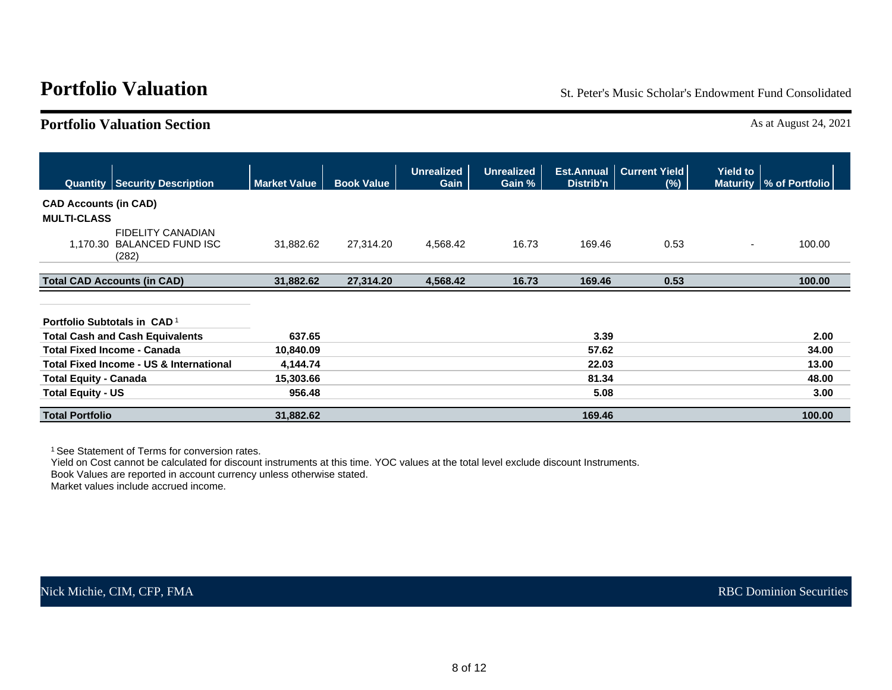<span id="page-9-0"></span>**Portfolio Valuation** St. Peter's Music Scholar's Endowment Fund Consolidated

# **Portfolio Valuation Section** As at August 24, 2021

|                                         | <b>Quantity Security Description</b>                            | <b>Market Value</b> | <b>Book Value</b> | <b>Unrealized</b><br>Gain | <b>Unrealized</b><br>Gain % | Distrib'n | <b>Est.Annual   Current Yield</b><br>(%) | <b>Yield to</b>          | Maturity   % of Portfolio |
|-----------------------------------------|-----------------------------------------------------------------|---------------------|-------------------|---------------------------|-----------------------------|-----------|------------------------------------------|--------------------------|---------------------------|
| <b>CAD Accounts (in CAD)</b>            |                                                                 |                     |                   |                           |                             |           |                                          |                          |                           |
| <b>MULTI-CLASS</b>                      |                                                                 |                     |                   |                           |                             |           |                                          |                          |                           |
|                                         | <b>FIDELITY CANADIAN</b><br>1,170.30 BALANCED FUND ISC<br>(282) | 31,882.62           | 27,314.20         | 4,568.42                  | 16.73                       | 169.46    | 0.53                                     | $\overline{\phantom{a}}$ | 100.00                    |
|                                         | <b>Total CAD Accounts (in CAD)</b>                              | 31,882.62           | 27,314.20         | 4,568.42                  | 16.73                       | 169.46    | 0.53                                     |                          | 100.00                    |
|                                         |                                                                 |                     |                   |                           |                             |           |                                          |                          |                           |
| Portfolio Subtotals in CAD <sup>1</sup> |                                                                 |                     |                   |                           |                             |           |                                          |                          |                           |
|                                         | <b>Total Cash and Cash Equivalents</b>                          | 637.65              |                   |                           |                             | 3.39      |                                          |                          | 2.00                      |
| <b>Total Fixed Income - Canada</b>      |                                                                 | 10,840.09           |                   |                           |                             | 57.62     |                                          |                          | 34.00                     |
|                                         | Total Fixed Income - US & International                         | 4,144.74            |                   |                           |                             | 22.03     |                                          |                          | 13.00                     |
| <b>Total Equity - Canada</b>            |                                                                 | 15,303.66           |                   |                           |                             | 81.34     |                                          |                          | 48.00                     |
| <b>Total Equity - US</b>                |                                                                 | 956.48              |                   |                           |                             | 5.08      |                                          |                          | 3.00                      |
| <b>Total Portfolio</b>                  |                                                                 | 31,882.62           |                   |                           |                             | 169.46    |                                          |                          | 100.00                    |

<sup>1</sup> See Statement of Terms for conversion rates.

Yield on Cost cannot be calculated for discount instruments at this time. YOC values at the total level exclude discount Instruments.

Book Values are reported in account currency unless otherwise stated.

Market values include accrued income.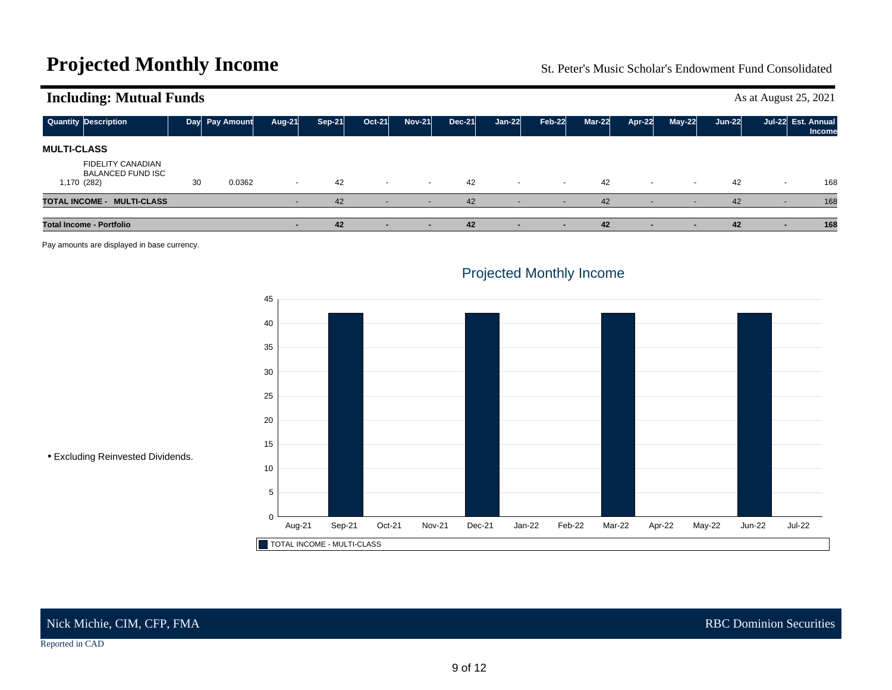# <span id="page-10-0"></span>**Projected Monthly Income** St. Peter's Music Scholar's Endowment Fund Consolidated

| ັ                                                                   |    |                |        |               |          |                          |               |          |               |          |                          |                |          |        |                                     |
|---------------------------------------------------------------------|----|----------------|--------|---------------|----------|--------------------------|---------------|----------|---------------|----------|--------------------------|----------------|----------|--------|-------------------------------------|
| <b>Quantity Description</b>                                         |    | Day Pay Amount | Aug-21 | <b>Sep-21</b> | $Oct-21$ | <b>Nov-21</b>            | <b>Dec-21</b> | $Jan-22$ | <b>Feb-22</b> | $Mar-22$ | Apr-22                   | $May-22$       | $Jun-22$ |        | Jul-22 Est. Annual<br><b>Income</b> |
| <b>MULTI-CLASS</b>                                                  |    |                |        |               |          |                          |               |          |               |          |                          |                |          |        |                                     |
| <b>FIDELITY CANADIAN</b><br><b>BALANCED FUND ISC</b><br>1,170 (282) | 30 | 0.0362         | $\sim$ | 42            | $\sim$   | $\sim$                   | 42            | $\sim$   | $\sim$        | 42       | $\sim$                   | $\sim$         | 42       | $\sim$ | 168                                 |
| TOTAL INCOME - MULTI-CLASS                                          |    |                |        | 42            |          | $\sim$                   | 42            |          |               | 42       | $\overline{\phantom{0}}$ | $\blacksquare$ | 42       |        | 168                                 |
| <b>Total Income - Portfolio</b>                                     |    |                |        | 42            |          | $\overline{\phantom{a}}$ | 42            |          |               | 42       |                          |                | 42       |        | 168                                 |

**Including: Mutual Funds** As at August 25, 2021

Pay amounts are displayed in base currency.



# Projected Monthly Income

• Excluding Reinvested Dividends.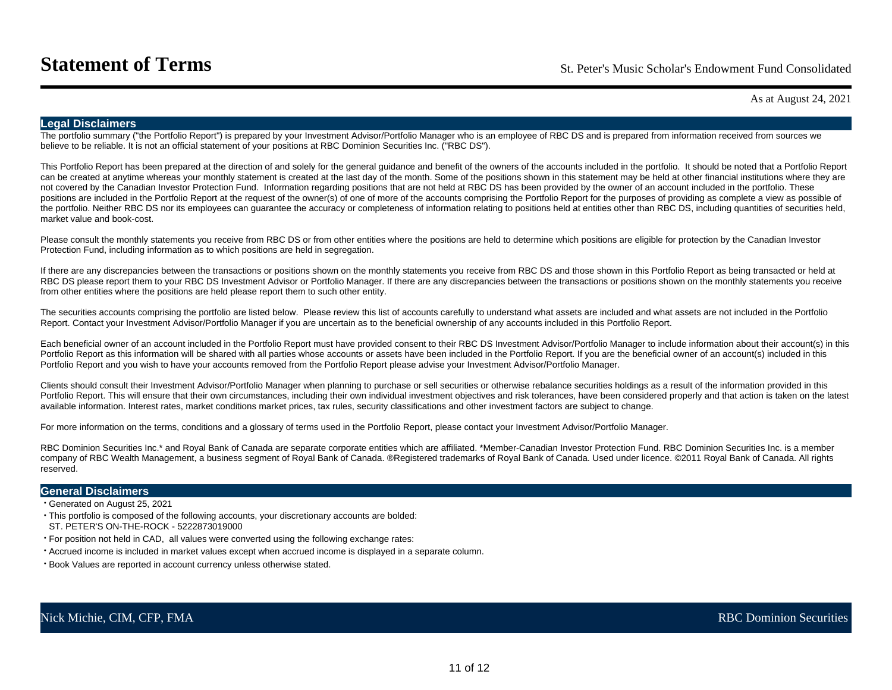As at August 24, 2021

### <span id="page-12-0"></span>**Legal Disclaimers**

The portfolio summary ("the Portfolio Report") is prepared by your Investment Advisor/Portfolio Manager who is an employee of RBC DS and is prepared from information received from sources we believe to be reliable. It is not an official statement of your positions at RBC Dominion Securities Inc. ("RBC DS").

This Portfolio Report has been prepared at the direction of and solely for the general guidance and benefit of the owners of the accounts included in the portfolio. It should be noted that a Portfolio Report can be created at anytime whereas your monthly statement is created at the last day of the month. Some of the positions shown in this statement may be held at other financial institutions where they are not covered by the Canadian Investor Protection Fund. Information regarding positions that are not held at RBC DS has been provided by the owner of an account included in the portfolio. These positions are included in the Portfolio Report at the request of the owner(s) of one of more of the accounts comprising the Portfolio Report for the purposes of providing as complete a view as possible of the portfolio. Neither RBC DS nor its employees can guarantee the accuracy or completeness of information relating to positions held at entities other than RBC DS, including quantities of securities held, market value and book-cost.

Please consult the monthly statements you receive from RBC DS or from other entities where the positions are held to determine which positions are eligible for protection by the Canadian Investor Protection Fund, including information as to which positions are held in segregation.

If there are any discrepancies between the transactions or positions shown on the monthly statements you receive from RBC DS and those shown in this Portfolio Report as being transacted or held at RBC DS please report them to your RBC DS Investment Advisor or Portfolio Manager. If there are any discrepancies between the transactions or positions shown on the monthly statements you receive from other entities where the positions are held please report them to such other entity.

The securities accounts comprising the portfolio are listed below. Please review this list of accounts carefully to understand what assets are included and what assets are not included in the Portfolio Report. Contact your Investment Advisor/Portfolio Manager if you are uncertain as to the beneficial ownership of any accounts included in this Portfolio Report.

Each beneficial owner of an account included in the Portfolio Report must have provided consent to their RBC DS Investment Advisor/Portfolio Manager to include information about their account(s) in this Portfolio Report as this information will be shared with all parties whose accounts or assets have been included in the Portfolio Report. If you are the beneficial owner of an account(s) included in this Portfolio Report and you wish to have your accounts removed from the Portfolio Report please advise your Investment Advisor/Portfolio Manager.

Clients should consult their Investment Advisor/Portfolio Manager when planning to purchase or sell securities or otherwise rebalance securities holdings as a result of the information provided in this Portfolio Report. This will ensure that their own circumstances, including their own individual investment objectives and risk tolerances, have been considered properly and that action is taken on the latest available information. Interest rates, market conditions market prices, tax rules, security classifications and other investment factors are subject to change.

For more information on the terms, conditions and a glossary of terms used in the Portfolio Report, please contact your Investment Advisor/Portfolio Manager.

RBC Dominion Securities Inc.\* and Royal Bank of Canada are separate corporate entities which are affiliated. \*Member-Canadian Investor Protection Fund. RBC Dominion Securities Inc. is a member company of RBC Wealth Management, a business segment of Royal Bank of Canada. ®Registered trademarks of Royal Bank of Canada. Used under licence. ©2011 Royal Bank of Canada. All rights reserved.

### **General Disclaimers**

• Generated on August 25, 2021

- This portfolio is composed of the following accounts, your discretionary accounts are bolded:
- ST. PETER'S ON-THE-ROCK 5222873019000
- For position not held in CAD, all values were converted using the following exchange rates:
- Accrued income is included in market values except when accrued income is displayed in a separate column.
- Book Values are reported in account currency unless otherwise stated.